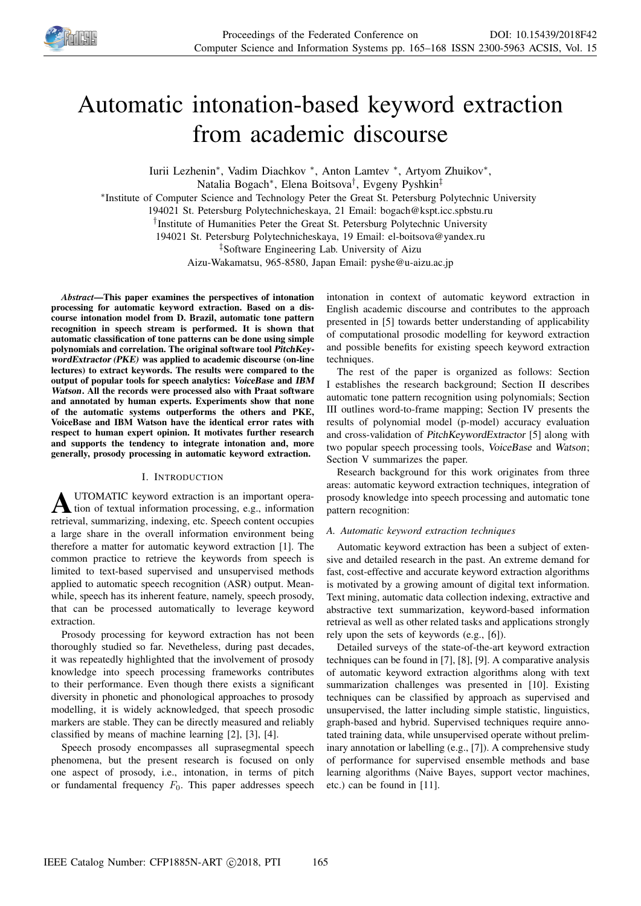

# Automatic intonation-based keyword extraction from academic discourse

Iurii Lezhenin\*, Vadim Diachkov \*, Anton Lamtev \*, Artyom Zhuikov\*, Natalia Bogach<sup>∗</sup> , Elena Boitsova† , Evgeny Pyshkin‡ ∗ Institute of Computer Science and Technology Peter the Great St. Petersburg Polytechnic University 194021 St. Petersburg Polytechnicheskaya, 21 Email: bogach@kspt.icc.spbstu.ru † Institute of Humanities Peter the Great St. Petersburg Polytechnic University 194021 St. Petersburg Polytechnicheskaya, 19 Email: el-boitsova@yandex.ru ‡Software Engineering Lab. University of Aizu Aizu-Wakamatsu, 965-8580, Japan Email: pyshe@u-aizu.ac.jp

*Abstract*—This paper examines the perspectives of intonation processing for automatic keyword extraction. Based on a discourse intonation model from D. Brazil, automatic tone pattern recognition in speech stream is performed. It is shown that automatic classification of tone patterns can be done using simple polynomials and correlation. The original software tool PitchKeywordExtractor (PKE) was applied to academic discourse (on-line lectures) to extract keywords. The results were compared to the output of popular tools for speech analytics: VoiceBase and IBM Watson. All the records were processed also with Praat software and annotated by human experts. Experiments show that none of the automatic systems outperforms the others and PKE, VoiceBase and IBM Watson have the identical error rates with respect to human expert opinion. It motivates further research and supports the tendency to integrate intonation and, more generally, prosody processing in automatic keyword extraction.

## I. INTRODUCTION

**A** UTOMATIC keyword extraction is an important operation of textual information processing, e.g., information UTOMATIC keyword extraction is an important operaretrieval, summarizing, indexing, etc. Speech content occupies a large share in the overall information environment being therefore a matter for automatic keyword extraction [1]. The common practice to retrieve the keywords from speech is limited to text-based supervised and unsupervised methods applied to automatic speech recognition (ASR) output. Meanwhile, speech has its inherent feature, namely, speech prosody, that can be processed automatically to leverage keyword extraction.

Prosody processing for keyword extraction has not been thoroughly studied so far. Nevetheless, during past decades, it was repeatedly highlighted that the involvement of prosody knowledge into speech processing frameworks contributes to their performance. Even though there exists a significant diversity in phonetic and phonological approaches to prosody modelling, it is widely acknowledged, that speech prosodic markers are stable. They can be directly measured and reliably classified by means of machine learning [2], [3], [4].

Speech prosody encompasses all suprasegmental speech phenomena, but the present research is focused on only one aspect of prosody, i.e., intonation, in terms of pitch or fundamental frequency  $F_0$ . This paper addresses speech intonation in context of automatic keyword extraction in English academic discourse and contributes to the approach presented in [5] towards better understanding of applicability of computational prosodic modelling for keyword extraction and possible benefits for existing speech keyword extraction techniques.

The rest of the paper is organized as follows: Section I establishes the research background; Section II describes automatic tone pattern recognition using polynomials; Section III outlines word-to-frame mapping; Section IV presents the results of polynomial model (p-model) accuracy evaluation and cross-validation of PitchKeywordExtractor [5] along with two popular speech processing tools, VoiceBase and Watson; Section V summarizes the paper.

Research background for this work originates from three areas: automatic keyword extraction techniques, integration of prosody knowledge into speech processing and automatic tone pattern recognition:

# *A. Automatic keyword extraction techniques*

Automatic keyword extraction has been a subject of extensive and detailed research in the past. An extreme demand for fast, cost-effective and accurate keyword extraction algorithms is motivated by a growing amount of digital text information. Text mining, automatic data collection indexing, extractive and abstractive text summarization, keyword-based information retrieval as well as other related tasks and applications strongly rely upon the sets of keywords (e.g., [6]).

Detailed surveys of the state-of-the-art keyword extraction techniques can be found in [7], [8], [9]. A comparative analysis of automatic keyword extraction algorithms along with text summarization challenges was presented in [10]. Existing techniques can be classified by approach as supervised and unsupervised, the latter including simple statistic, linguistics, graph-based and hybrid. Supervised techniques require annotated training data, while unsupervised operate without preliminary annotation or labelling (e.g., [7]). A comprehensive study of performance for supervised ensemble methods and base learning algorithms (Naive Bayes, support vector machines, etc.) can be found in [11].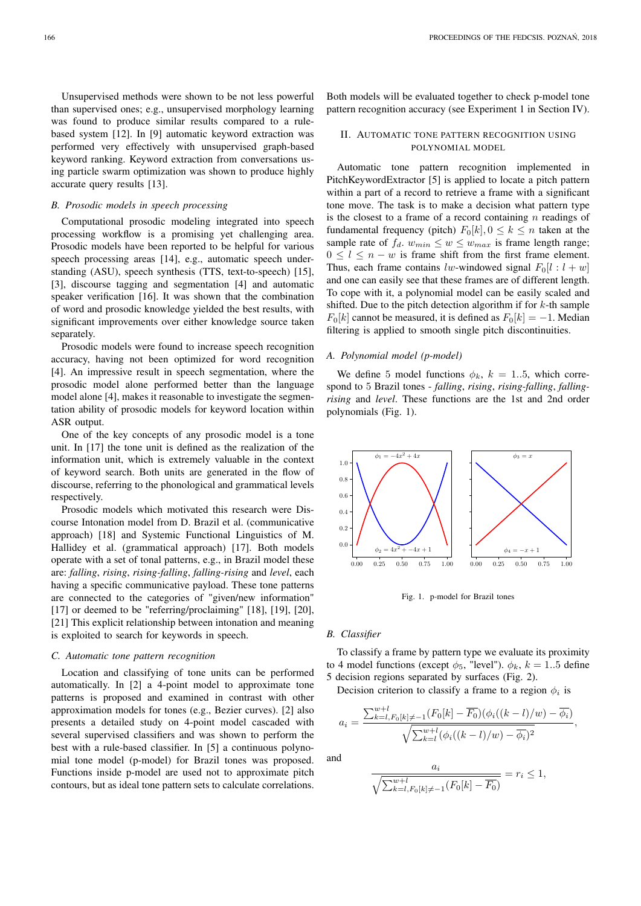Unsupervised methods were shown to be not less powerful than supervised ones; e.g., unsupervised morphology learning was found to produce similar results compared to a rulebased system [12]. In [9] automatic keyword extraction was performed very effectively with unsupervised graph-based keyword ranking. Keyword extraction from conversations using particle swarm optimization was shown to produce highly accurate query results [13].

# *B. Prosodic models in speech processing*

Computational prosodic modeling integrated into speech processing workflow is a promising yet challenging area. Prosodic models have been reported to be helpful for various speech processing areas [14], e.g., automatic speech understanding (ASU), speech synthesis (TTS, text-to-speech) [15], [3], discourse tagging and segmentation [4] and automatic speaker verification [16]. It was shown that the combination of word and prosodic knowledge yielded the best results, with significant improvements over either knowledge source taken separately.

Prosodic models were found to increase speech recognition accuracy, having not been optimized for word recognition [4]. An impressive result in speech segmentation, where the prosodic model alone performed better than the language model alone [4], makes it reasonable to investigate the segmentation ability of prosodic models for keyword location within ASR output.

One of the key concepts of any prosodic model is a tone unit. In [17] the tone unit is defined as the realization of the information unit, which is extremely valuable in the context of keyword search. Both units are generated in the flow of discourse, referring to the phonological and grammatical levels respectively.

Prosodic models which motivated this research were Discourse Intonation model from D. Brazil et al. (communicative approach) [18] and Systemic Functional Linguistics of M. Hallidey et al. (grammatical approach) [17]. Both models operate with a set of tonal patterns, e.g., in Brazil model these are: *falling*, *rising*, *rising-falling*, *falling-rising* and *level*, each having a specific communicative payload. These tone patterns are connected to the categories of "given/new information" [17] or deemed to be "referring/proclaiming" [18], [19], [20], [21] This explicit relationship between intonation and meaning is exploited to search for keywords in speech.

## *C. Automatic tone pattern recognition*

Location and classifying of tone units can be performed automatically. In [2] a 4-point model to approximate tone patterns is proposed and examined in contrast with other approximation models for tones (e.g., Bezier curves). [2] also presents a detailed study on 4-point model cascaded with several supervised classifiers and was shown to perform the best with a rule-based classifier. In [5] a continuous polynomial tone model (p-model) for Brazil tones was proposed. Functions inside p-model are used not to approximate pitch contours, but as ideal tone pattern sets to calculate correlations.

Both models will be evaluated together to check p-model tone pattern recognition accuracy (see Experiment 1 in Section IV).

# II. AUTOMATIC TONE PATTERN RECOGNITION USING POLYNOMIAL MODEL

Automatic tone pattern recognition implemented in PitchKeywordExtractor [5] is applied to locate a pitch pattern within a part of a record to retrieve a frame with a significant tone move. The task is to make a decision what pattern type is the closest to a frame of a record containing  $n$  readings of fundamental frequency (pitch)  $F_0[k], 0 \le k \le n$  taken at the sample rate of  $f_d$ .  $w_{min} \leq w \leq w_{max}$  is frame length range;  $0 \leq l \leq n - w$  is frame shift from the first frame element. Thus, each frame contains lw-windowed signal  $F_0[l : l + w]$ and one can easily see that these frames are of different length. To cope with it, a polynomial model can be easily scaled and shifted. Due to the pitch detection algorithm if for  $k$ -th sample  $F_0[k]$  cannot be measured, it is defined as  $F_0[k] = -1$ . Median filtering is applied to smooth single pitch discontinuities.

#### *A. Polynomial model (p-model)*

We define 5 model functions  $\phi_k$ ,  $k = 1..5$ , which correspond to 5 Brazil tones - *falling*, *rising*, *rising-falling*, *fallingrising* and *level*. These functions are the 1st and 2nd order polynomials (Fig. 1).



Fig. 1. p-model for Brazil tones

#### *B. Classifier*

To classify a frame by pattern type we evaluate its proximity to 4 model functions (except  $\phi_5$ , "level").  $\phi_k$ ,  $k = 1..5$  define 5 decision regions separated by surfaces (Fig. 2).

Decision criterion to classify a frame to a region  $\phi_i$  is

$$
a_i = \frac{\sum_{k=l, F_0[k] \neq -1}^{w+l} (F_0[k] - \overline{F_0})(\phi_i((k-l)/w) - \overline{\phi_i})}{\sqrt{\sum_{k=l}^{w+l} (\phi_i((k-l)/w) - \overline{\phi_i})^2}},
$$

and

$$
\frac{a_i}{\sqrt{\sum_{k=l, F_0[k] \neq -1}^{w+l} (F_0[k] - \overline{F_0})}} = r_i \le 1,
$$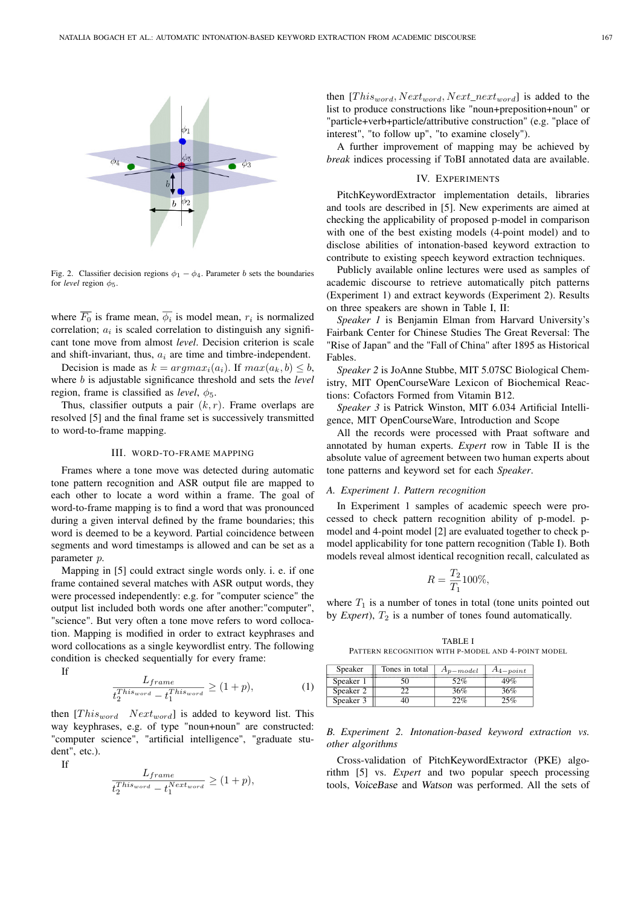

Fig. 2. Classifier decision regions  $\phi_1 - \phi_4$ . Parameter b sets the boundaries for *level* region  $\phi_5$ .

where  $F_0$  is frame mean,  $\phi_i$  is model mean,  $r_i$  is normalized correlation;  $a_i$  is scaled correlation to distinguish any significant tone move from almost *level*. Decision criterion is scale and shift-invariant, thus,  $a_i$  are time and timbre-independent.

Decision is made as  $k = argmax_i(a_i)$ . If  $max(a_k, b) \leq b$ , where b is adjustable significance threshold and sets the *level* region, frame is classified as *level*,  $\phi_5$ .

Thus, classifier outputs a pair  $(k, r)$ . Frame overlaps are resolved [5] and the final frame set is successively transmitted to word-to-frame mapping.

### III. WORD-TO-FRAME MAPPING

Frames where a tone move was detected during automatic tone pattern recognition and ASR output file are mapped to each other to locate a word within a frame. The goal of word-to-frame mapping is to find a word that was pronounced during a given interval defined by the frame boundaries; this word is deemed to be a keyword. Partial coincidence between segments and word timestamps is allowed and can be set as a parameter p.

Mapping in [5] could extract single words only. i. e. if one frame contained several matches with ASR output words, they were processed independently: e.g. for "computer science" the output list included both words one after another:"computer", "science". But very often a tone move refers to word collocation. Mapping is modified in order to extract keyphrases and word collocations as a single keywordlist entry. The following condition is checked sequentially for every frame:

If

$$
\frac{L_{frame}}{t_2^{This_{word}} - t_1^{This_{word}}} \ge (1 + p),
$$
 (1)

then  $[This<sub>word</sub> Next<sub>word</sub>]$  is added to keyword list. This way keyphrases, e.g. of type "noun+noun" are constructed: "computer science", "artificial intelligence", "graduate student", etc.).

If

$$
\frac{L_{frame}}{t_2^{This_{word}} - t_1^{Next_{word}}} \ge (1+p),
$$

then  $[This<sub>word</sub>, Next<sub>word</sub>, Next<sub>next</sub>]$  is added to the list to produce constructions like "noun+preposition+noun" or "particle+verb+particle/attributive construction" (e.g. "place of interest", "to follow up", "to examine closely").

A further improvement of mapping may be achieved by *break* indices processing if ToBI annotated data are available.

## IV. EXPERIMENTS

PitchKeywordExtractor implementation details, libraries and tools are described in [5]. New experiments are aimed at checking the applicability of proposed p-model in comparison with one of the best existing models (4-point model) and to disclose abilities of intonation-based keyword extraction to contribute to existing speech keyword extraction techniques.

Publicly available online lectures were used as samples of academic discourse to retrieve automatically pitch patterns (Experiment 1) and extract keywords (Experiment 2). Results on three speakers are shown in Table I, II:

*Speaker 1* is Benjamin Elman from Harvard University's Fairbank Center for Chinese Studies The Great Reversal: The "Rise of Japan" and the "Fall of China" after 1895 as Historical Fables.

*Speaker 2* is JoAnne Stubbe, MIT 5.07SC Biological Chemistry, MIT OpenCourseWare Lexicon of Biochemical Reactions: Cofactors Formed from Vitamin B12.

*Speaker 3* is Patrick Winston, MIT 6.034 Artificial Intelligence, MIT OpenCourseWare, Introduction and Scope

All the records were processed with Praat software and annotated by human experts. *Expert* row in Table II is the absolute value of agreement between two human experts about tone patterns and keyword set for each *Speaker*.

#### *A. Experiment 1. Pattern recognition*

In Experiment 1 samples of academic speech were processed to check pattern recognition ability of p-model. pmodel and 4-point model [2] are evaluated together to check pmodel applicability for tone pattern recognition (Table I). Both models reveal almost identical recognition recall, calculated as

$$
R = \frac{T_2}{T_1} 100\%,
$$

where  $T_1$  is a number of tones in total (tone units pointed out by *Expert*),  $T_2$  is a number of tones found automatically.

TABLE I PATTERN RECOGNITION WITH P-MODEL AND 4-POINT MODEL

| Speaker   | Tones in total | $A_{p-model}$ | $A_{4-point}$ |
|-----------|----------------|---------------|---------------|
| Speaker 1 | 50             | 52%           | 49%           |
| Speaker 2 |                | 36%           | 36%           |
| Speaker 3 |                | 22%           | $15\%$        |

# *B. Experiment 2. Intonation-based keyword extraction vs. other algorithms*

Cross-validation of PitchKeywordExtractor (PKE) algorithm [5] vs. *Expert* and two popular speech processing tools, VoiceBase and Watson was performed. All the sets of